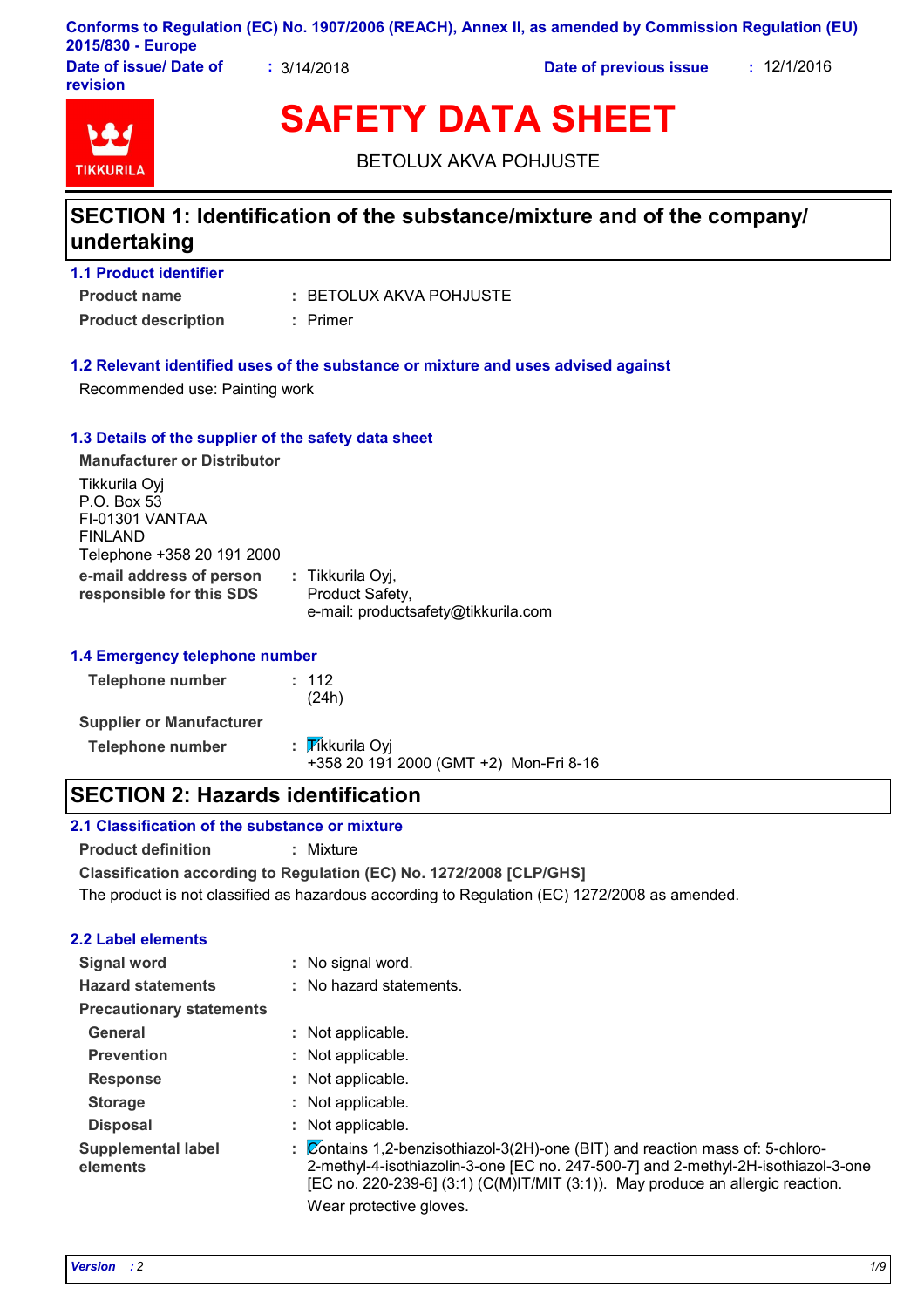## **Conforms to Regulation (EC) No. 1907/2006 (REACH), Annex II, as amended by Commission Regulation (EU) 2015/830 - Europe**

**Date of issue/ Date of revision**

**:** 3/14/2018 **Date of previous issue :** 12/1/2016



# **SAFETY DATA SHEET**

BETOLUX AKVA POHJUSTE

# **SECTION 1: Identification of the substance/mixture and of the company/ undertaking**

| <b>1.1 Product identifier</b> |  |
|-------------------------------|--|
| <b>Product name</b>           |  |

BETOLUX AKVA POHJUSTE **:**

**Product description :** Primer

## **1.2 Relevant identified uses of the substance or mixture and uses advised against**

Recommended use: Painting work

### **1.3 Details of the supplier of the safety data sheet**

| <b>Manufacturer or Distributor</b>                                                       |                                                                            |  |
|------------------------------------------------------------------------------------------|----------------------------------------------------------------------------|--|
| Tikkurila Oyj<br>P.O. Box 53<br>FI-01301 VANTAA<br>FINLAND<br>Telephone +358 20 191 2000 |                                                                            |  |
| e-mail address of person<br>responsible for this SDS                                     | : Tikkurila Oyj,<br>Product Safety,<br>e-mail: productsafety@tikkurila.com |  |

### **1.4 Emergency telephone number**

| <b>Telephone number</b>         | : 112<br>(24h)                                            |
|---------------------------------|-----------------------------------------------------------|
| <b>Supplier or Manufacturer</b> |                                                           |
| <b>Telephone number</b>         | : Tikkurila Oyi<br>+358 20 191 2000 (GMT +2) Mon-Fri 8-16 |

# **SECTION 2: Hazards identification**

### **2.1 Classification of the substance or mixture**

**Product definition :** Mixture

**Classification according to Regulation (EC) No. 1272/2008 [CLP/GHS]**

The product is not classified as hazardous according to Regulation (EC) 1272/2008 as amended.

### **2.2 Label elements**

| <b>Signal word</b>                    | : No signal word.                                                                                                                                                                                                                                                                  |
|---------------------------------------|------------------------------------------------------------------------------------------------------------------------------------------------------------------------------------------------------------------------------------------------------------------------------------|
| <b>Hazard statements</b>              | : No hazard statements.                                                                                                                                                                                                                                                            |
| <b>Precautionary statements</b>       |                                                                                                                                                                                                                                                                                    |
| General                               | : Not applicable.                                                                                                                                                                                                                                                                  |
| <b>Prevention</b>                     | : Not applicable.                                                                                                                                                                                                                                                                  |
| <b>Response</b>                       | : Not applicable.                                                                                                                                                                                                                                                                  |
| <b>Storage</b>                        | : Not applicable.                                                                                                                                                                                                                                                                  |
| <b>Disposal</b>                       | : Not applicable.                                                                                                                                                                                                                                                                  |
| <b>Supplemental label</b><br>elements | Contains 1,2-benzisothiazol-3(2H)-one (BIT) and reaction mass of: 5-chloro-<br>2-methyl-4-isothiazolin-3-one [EC no. 247-500-7] and 2-methyl-2H-isothiazol-3-one<br>[EC no. 220-239-6] $(3:1)$ (C(M)IT/MIT $(3:1)$ ). May produce an allergic reaction.<br>Wear protective gloves. |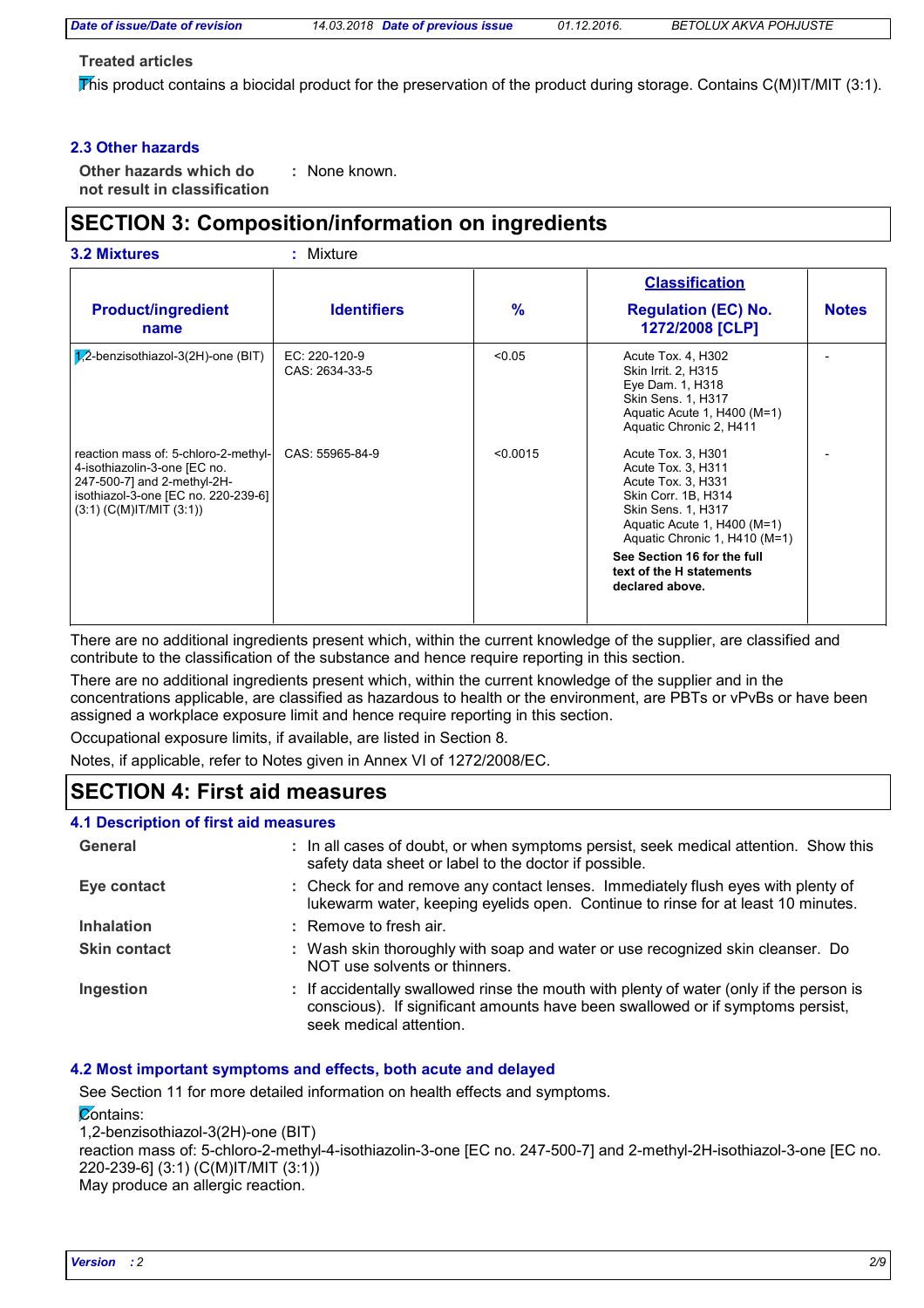*Date of issue/Date of revision 14.03.2018 Date of previous issue 01.12.2016. BETOLUX AKVA POHJUSTE*

#### **Treated articles**

This product contains a biocidal product for the preservation of the product during storage. Contains  $C(M)IT/MIT$  (3:1).

#### **2.3 Other hazards**

**Other hazards which do : not result in classification** : None known.

# **SECTION 3: Composition/information on ingredients**

| <b>3.2 Mixtures</b>                                                                                                                                                         | $:$ Mixture                     |          |                                                                                                                                                                                    |              |
|-----------------------------------------------------------------------------------------------------------------------------------------------------------------------------|---------------------------------|----------|------------------------------------------------------------------------------------------------------------------------------------------------------------------------------------|--------------|
|                                                                                                                                                                             |                                 |          | <b>Classification</b>                                                                                                                                                              |              |
| <b>Product/ingredient</b><br>name                                                                                                                                           | <b>Identifiers</b>              | %        | <b>Regulation (EC) No.</b><br>1272/2008 [CLP]                                                                                                                                      | <b>Notes</b> |
| $1/2$ -benzisothiazol-3(2H)-one (BIT)                                                                                                                                       | EC: 220-120-9<br>CAS: 2634-33-5 | < 0.05   | Acute Tox. 4, H302<br>Skin Irrit. 2, H315<br>Eye Dam. 1, H318<br>Skin Sens. 1, H317<br>Aquatic Acute 1, H400 (M=1)<br>Aquatic Chronic 2, H411                                      |              |
| reaction mass of: 5-chloro-2-methyl-<br>4-isothiazolin-3-one [EC no.<br>247-500-7] and 2-methyl-2H-<br>isothiazol-3-one [EC no. 220-239-6]<br>$(3:1)$ (C(M)IT/MIT $(3:1)$ ) | CAS: 55965-84-9                 | < 0.0015 | Acute Tox. 3, H301<br>Acute Tox. 3, H311<br>Acute Tox. 3, H331<br>Skin Corr. 1B, H314<br><b>Skin Sens. 1, H317</b><br>Aquatic Acute 1, H400 (M=1)<br>Aquatic Chronic 1, H410 (M=1) |              |
|                                                                                                                                                                             |                                 |          | See Section 16 for the full<br>text of the H statements<br>declared above.                                                                                                         |              |

There are no additional ingredients present which, within the current knowledge of the supplier, are classified and contribute to the classification of the substance and hence require reporting in this section.

There are no additional ingredients present which, within the current knowledge of the supplier and in the concentrations applicable, are classified as hazardous to health or the environment, are PBTs or vPvBs or have been assigned a workplace exposure limit and hence require reporting in this section.

Occupational exposure limits, if available, are listed in Section 8.

Notes, if applicable, refer to Notes given in Annex VI of 1272/2008/EC.

# **SECTION 4: First aid measures**

| 4.1 Description of first aid measures |                                                                                                                                                                                                      |
|---------------------------------------|------------------------------------------------------------------------------------------------------------------------------------------------------------------------------------------------------|
| General                               | : In all cases of doubt, or when symptoms persist, seek medical attention. Show this<br>safety data sheet or label to the doctor if possible.                                                        |
| Eye contact                           | : Check for and remove any contact lenses. Immediately flush eyes with plenty of<br>lukewarm water, keeping eyelids open. Continue to rinse for at least 10 minutes.                                 |
| <b>Inhalation</b>                     | $:$ Remove to fresh air.                                                                                                                                                                             |
| <b>Skin contact</b>                   | : Wash skin thoroughly with soap and water or use recognized skin cleanser. Do<br>NOT use solvents or thinners.                                                                                      |
| Ingestion                             | : If accidentally swallowed rinse the mouth with plenty of water (only if the person is<br>conscious). If significant amounts have been swallowed or if symptoms persist,<br>seek medical attention. |

### **4.2 Most important symptoms and effects, both acute and delayed**

See Section 11 for more detailed information on health effects and symptoms.

#### **Contains:**

1,2-benzisothiazol-3(2H)-one (BIT) reaction mass of: 5-chloro-2-methyl-4-isothiazolin-3-one [EC no. 247-500-7] and 2-methyl-2H-isothiazol-3-one [EC no. 220-239-6] (3:1) (C(M)IT/MIT (3:1)) May produce an allergic reaction.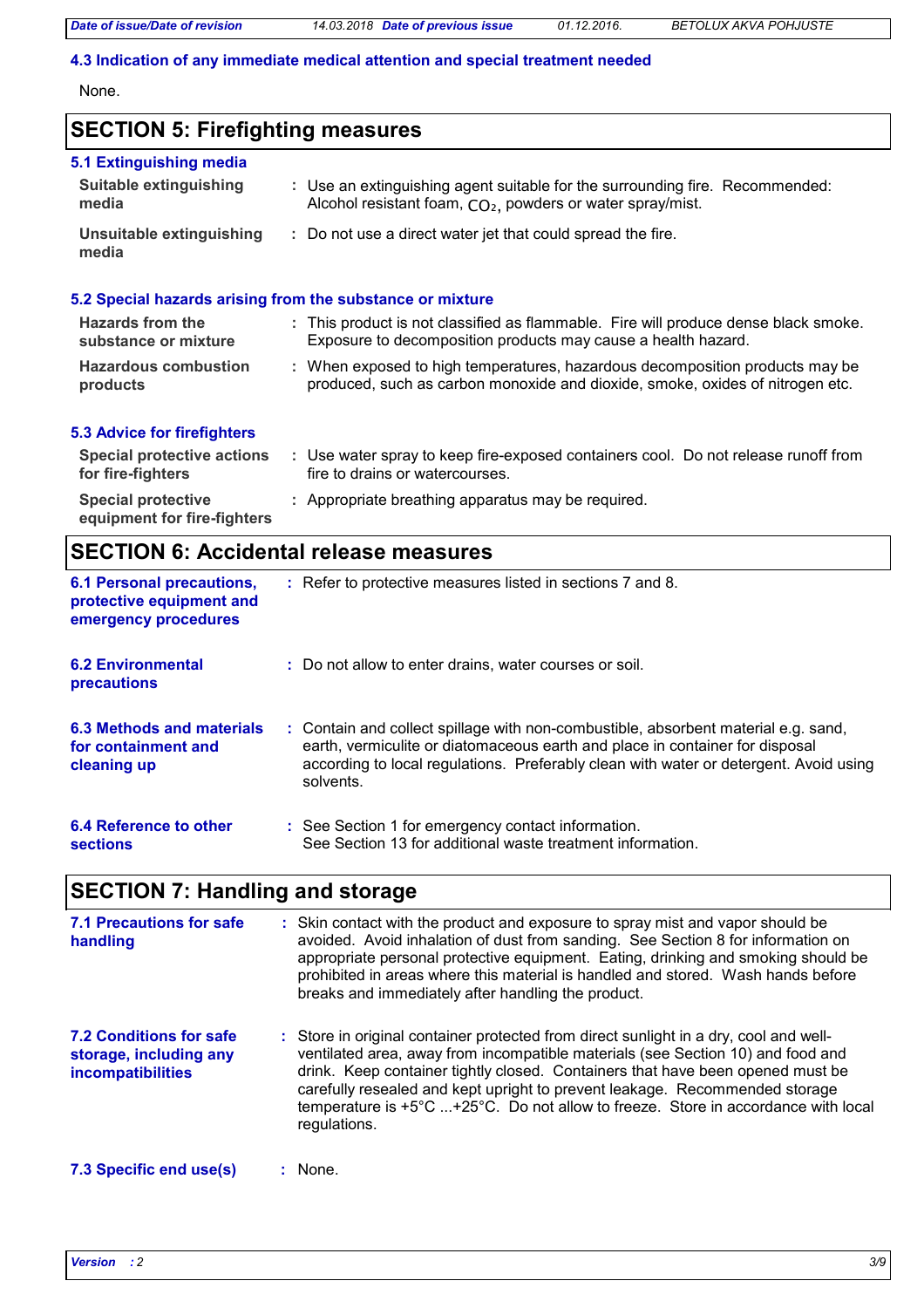#### **4.3 Indication of any immediate medical attention and special treatment needed**

None.

# **SECTION 5: Firefighting measures**

| 5.1 Extinguishing media<br><b>Suitable extinguishing</b><br>media | : Use an extinguishing agent suitable for the surrounding fire. Recommended:<br>Alcohol resistant foam, CO <sub>2</sub> , powders or water spray/mist.        |
|-------------------------------------------------------------------|---------------------------------------------------------------------------------------------------------------------------------------------------------------|
| Unsuitable extinguishing<br>media                                 | : Do not use a direct water jet that could spread the fire.                                                                                                   |
|                                                                   | 5.2 Special hazards arising from the substance or mixture                                                                                                     |
| Hazards from the<br>substance or mixture                          | : This product is not classified as flammable. Fire will produce dense black smoke.<br>Exposure to decomposition products may cause a health hazard.          |
| <b>Hazardous combustion</b><br>products                           | : When exposed to high temperatures, hazardous decomposition products may be<br>produced, such as carbon monoxide and dioxide, smoke, oxides of nitrogen etc. |
| <b>5.3 Advice for firefighters</b>                                |                                                                                                                                                               |
| <b>Special protective actions</b><br>for fire-fighters            | : Use water spray to keep fire-exposed containers cool. Do not release runoff from<br>fire to drains or watercourses.                                         |

| <b>Special protective</b>   | : Appropriate breathing apparatus may be required. |
|-----------------------------|----------------------------------------------------|
| equipment for fire-fighters |                                                    |

# **SECTION 6: Accidental release measures**

| <b>6.1 Personal precautions,</b><br>protective equipment and<br>emergency procedures | : Refer to protective measures listed in sections 7 and 8.                                                                                                                                                                                                               |  |
|--------------------------------------------------------------------------------------|--------------------------------------------------------------------------------------------------------------------------------------------------------------------------------------------------------------------------------------------------------------------------|--|
| <b>6.2 Environmental</b><br>precautions                                              | : Do not allow to enter drains, water courses or soil.                                                                                                                                                                                                                   |  |
| 6.3 Methods and materials<br>for containment and<br>cleaning up                      | : Contain and collect spillage with non-combustible, absorbent material e.g. sand,<br>earth, vermiculite or diatomaceous earth and place in container for disposal<br>according to local regulations. Preferably clean with water or detergent. Avoid using<br>solvents. |  |
| 6.4 Reference to other<br>sections                                                   | : See Section 1 for emergency contact information.<br>See Section 13 for additional waste treatment information.                                                                                                                                                         |  |

# **SECTION 7: Handling and storage**

| 7.1 Precautions for safe<br>handling                                                 | : Skin contact with the product and exposure to spray mist and vapor should be<br>avoided. Avoid inhalation of dust from sanding. See Section 8 for information on<br>appropriate personal protective equipment. Eating, drinking and smoking should be<br>prohibited in areas where this material is handled and stored. Wash hands before<br>breaks and immediately after handling the product.                                                        |
|--------------------------------------------------------------------------------------|----------------------------------------------------------------------------------------------------------------------------------------------------------------------------------------------------------------------------------------------------------------------------------------------------------------------------------------------------------------------------------------------------------------------------------------------------------|
| <b>7.2 Conditions for safe</b><br>storage, including any<br><b>incompatibilities</b> | : Store in original container protected from direct sunlight in a dry, cool and well-<br>ventilated area, away from incompatible materials (see Section 10) and food and<br>drink. Keep container tightly closed. Containers that have been opened must be<br>carefully resealed and kept upright to prevent leakage. Recommended storage<br>temperature is $+5^{\circ}$ C +25°C. Do not allow to freeze. Store in accordance with local<br>regulations. |
| 7.3 Specific end use(s)                                                              | : None.                                                                                                                                                                                                                                                                                                                                                                                                                                                  |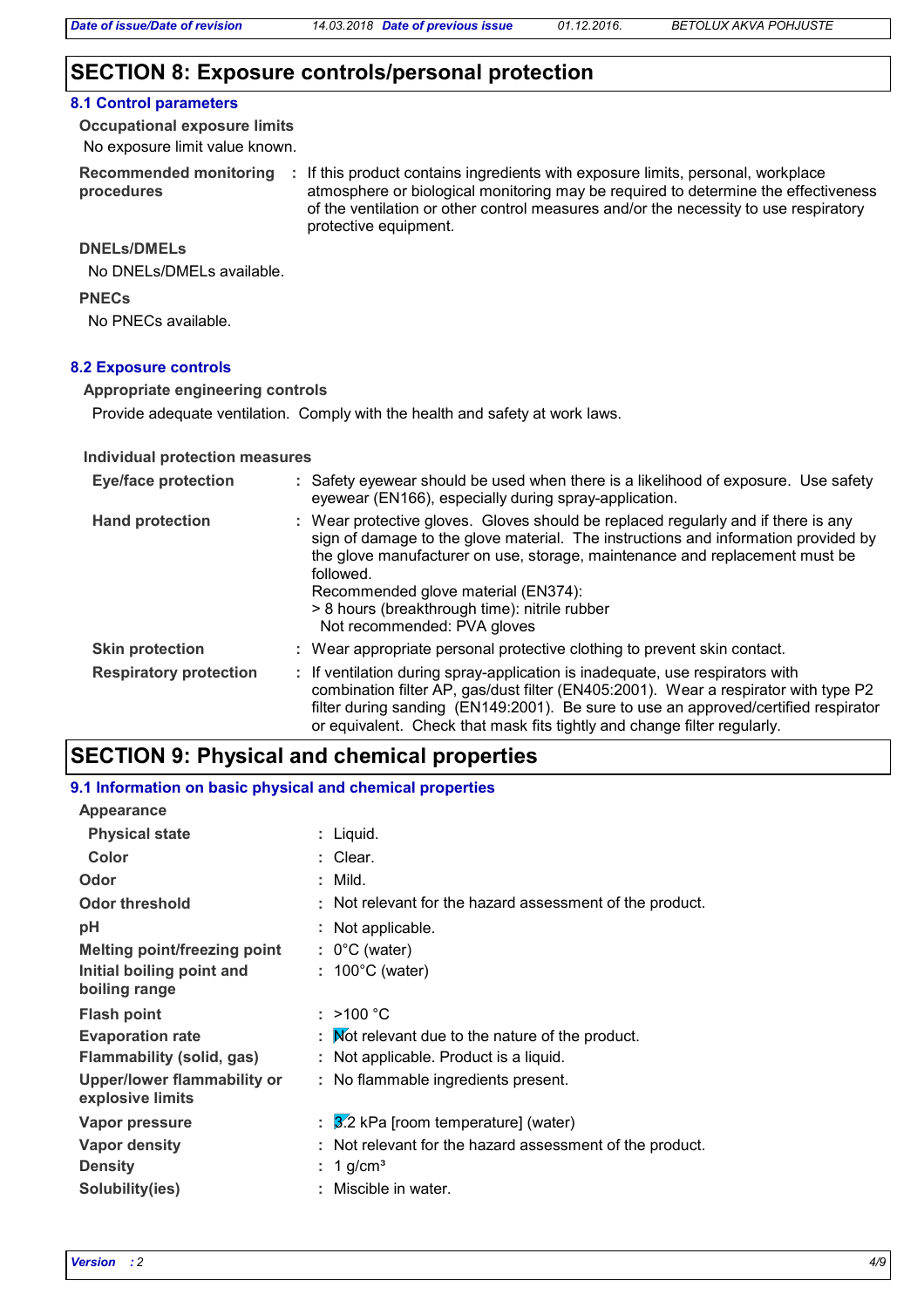# **SECTION 8: Exposure controls/personal protection**

# **8.1 Control parameters**

No exposure limit value known. **Occupational exposure limits**

**procedures**

Recommended monitoring : If this product contains ingredients with exposure limits, personal, workplace atmosphere or biological monitoring may be required to determine the effectiveness of the ventilation or other control measures and/or the necessity to use respiratory protective equipment.

#### **DNELs/DMELs**

No DNELs/DMELs available.

**PNECs**

No PNECs available.

### **8.2 Exposure controls**

#### **Appropriate engineering controls**

Provide adequate ventilation. Comply with the health and safety at work laws.

#### **Individual protection measures**

| <b>Eye/face protection</b>    | : Safety eyewear should be used when there is a likelihood of exposure. Use safety<br>eyewear (EN166), especially during spray-application.                                                                                                                                                                                                                                                |
|-------------------------------|--------------------------------------------------------------------------------------------------------------------------------------------------------------------------------------------------------------------------------------------------------------------------------------------------------------------------------------------------------------------------------------------|
| <b>Hand protection</b>        | : Wear protective gloves. Gloves should be replaced regularly and if there is any<br>sign of damage to the glove material. The instructions and information provided by<br>the glove manufacturer on use, storage, maintenance and replacement must be<br>followed.<br>Recommended glove material (EN374):<br>> 8 hours (breakthrough time): nitrile rubber<br>Not recommended: PVA gloves |
| <b>Skin protection</b>        | : Wear appropriate personal protective clothing to prevent skin contact.                                                                                                                                                                                                                                                                                                                   |
| <b>Respiratory protection</b> | : If ventilation during spray-application is inadequate, use respirators with<br>combination filter AP, gas/dust filter (EN405:2001). Wear a respirator with type P2<br>filter during sanding (EN149:2001). Be sure to use an approved/certified respirator<br>or equivalent. Check that mask fits tightly and change filter regularly.                                                    |

# **SECTION 9: Physical and chemical properties**

#### **9.1 Information on basic physical and chemical properties**

| Appearance                                      |                                                              |
|-------------------------------------------------|--------------------------------------------------------------|
| <b>Physical state</b>                           | : Liquid.                                                    |
| Color                                           | : Clear.                                                     |
| Odor                                            | $:$ Mild.                                                    |
| <b>Odor threshold</b>                           | Not relevant for the hazard assessment of the product.       |
| рH                                              | : Not applicable.                                            |
| <b>Melting point/freezing point</b>             | $: 0^{\circ}$ C (water)                                      |
| Initial boiling point and<br>boiling range      | $: 100^{\circ}$ C (water)                                    |
| <b>Flash point</b>                              | : $>100 °C$                                                  |
| <b>Evaporation rate</b>                         | $\mathbf F$ . Mot relevant due to the nature of the product. |
| Flammability (solid, gas)                       | : Not applicable. Product is a liquid.                       |
| Upper/lower flammability or<br>explosive limits | : No flammable ingredients present.                          |
| <b>Vapor pressure</b>                           | $\frac{3}{2}$ kPa [room temperature] (water)                 |
| <b>Vapor density</b>                            | Not relevant for the hazard assessment of the product.       |
| <b>Density</b>                                  | 1 g/cm <sup>3</sup>                                          |
| Solubility(ies)                                 | Miscible in water.                                           |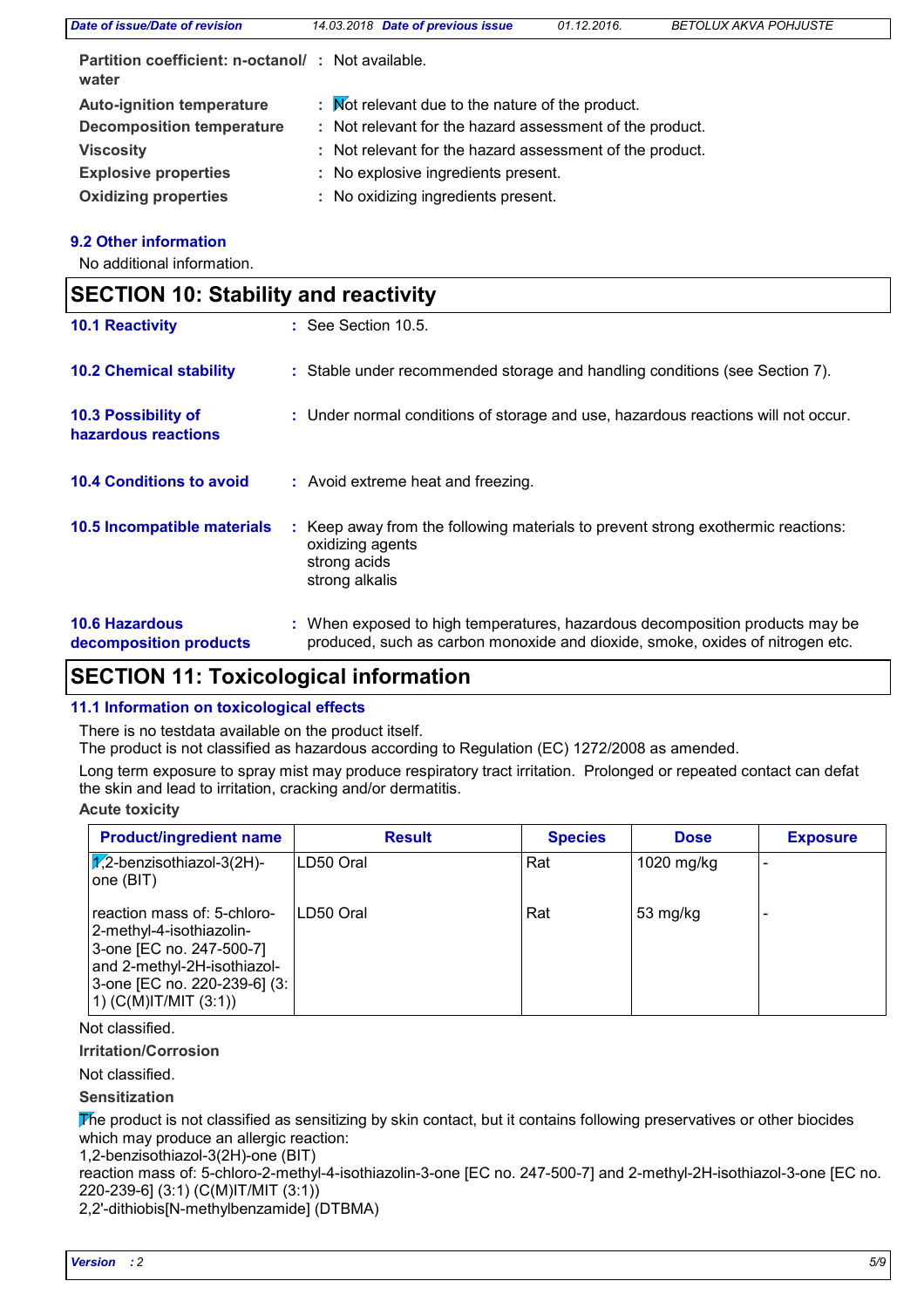| Date of issue/Date of revision                                     | 14.03.2018 Date of previous issue                        | 01.12.2016. | <b>BETOLUX AKVA POHJUSTE</b> |  |
|--------------------------------------------------------------------|----------------------------------------------------------|-------------|------------------------------|--|
| <b>Partition coefficient: n-octanol/ : Not available.</b><br>water |                                                          |             |                              |  |
| <b>Auto-ignition temperature</b>                                   | : Mot relevant due to the nature of the product.         |             |                              |  |
| <b>Decomposition temperature</b>                                   | : Not relevant for the hazard assessment of the product. |             |                              |  |
| <b>Viscosity</b>                                                   | : Not relevant for the hazard assessment of the product. |             |                              |  |
| <b>Explosive properties</b>                                        | : No explosive ingredients present.                      |             |                              |  |
| <b>Oxidizing properties</b>                                        | : No oxidizing ingredients present.                      |             |                              |  |

### **9.2 Other information**

No additional information.

| <b>SECTION 10: Stability and reactivity</b>     |                                                                                                                                                               |  |
|-------------------------------------------------|---------------------------------------------------------------------------------------------------------------------------------------------------------------|--|
| <b>10.1 Reactivity</b>                          | : See Section 10.5.                                                                                                                                           |  |
| <b>10.2 Chemical stability</b>                  | : Stable under recommended storage and handling conditions (see Section 7).                                                                                   |  |
| 10.3 Possibility of<br>hazardous reactions      | : Under normal conditions of storage and use, hazardous reactions will not occur.                                                                             |  |
| <b>10.4 Conditions to avoid</b>                 | : Avoid extreme heat and freezing.                                                                                                                            |  |
| 10.5 Incompatible materials                     | : Keep away from the following materials to prevent strong exothermic reactions:<br>oxidizing agents<br>strong acids<br>strong alkalis                        |  |
| <b>10.6 Hazardous</b><br>decomposition products | : When exposed to high temperatures, hazardous decomposition products may be<br>produced, such as carbon monoxide and dioxide, smoke, oxides of nitrogen etc. |  |

# **SECTION 11: Toxicological information**

## **11.1 Information on toxicological effects**

There is no testdata available on the product itself.

The product is not classified as hazardous according to Regulation (EC) 1272/2008 as amended.

Long term exposure to spray mist may produce respiratory tract irritation. Prolonged or repeated contact can defat the skin and lead to irritation, cracking and/or dermatitis.

### **Acute toxicity**

| <b>Product/ingredient name</b>                                                                                                                                                  | <b>Result</b> | <b>Species</b> | <b>Dose</b> | <b>Exposure</b> |
|---------------------------------------------------------------------------------------------------------------------------------------------------------------------------------|---------------|----------------|-------------|-----------------|
| $\sqrt{V}$ ,2-benzisothiazol-3(2H)-<br>one (BIT)                                                                                                                                | ILD50 Oral    | Rat            | 1020 mg/kg  |                 |
| reaction mass of: 5-chloro-<br>2-methyl-4-isothiazolin-<br>3-one [EC no. 247-500-7]<br>and 2-methyl-2H-isothiazol-<br>3-one [EC no. 220-239-6] (3:<br>1) $(C(M)$ IT/MIT $(3:1)$ | ILD50 Oral    | Rat            | 53 mg/kg    |                 |

Not classified.

### **Irritation/Corrosion**

Not classified.

### **Sensitization**

The product is not classified as sensitizing by skin contact, but it contains following preservatives or other biocides which may produce an allergic reaction:

1,2-benzisothiazol-3(2H)-one (BIT)

reaction mass of: 5-chloro-2-methyl-4-isothiazolin-3-one [EC no. 247-500-7] and 2-methyl-2H-isothiazol-3-one [EC no. 220-239-6] (3:1) (C(M)IT/MIT (3:1))

2,2'-dithiobis[N-methylbenzamide] (DTBMA)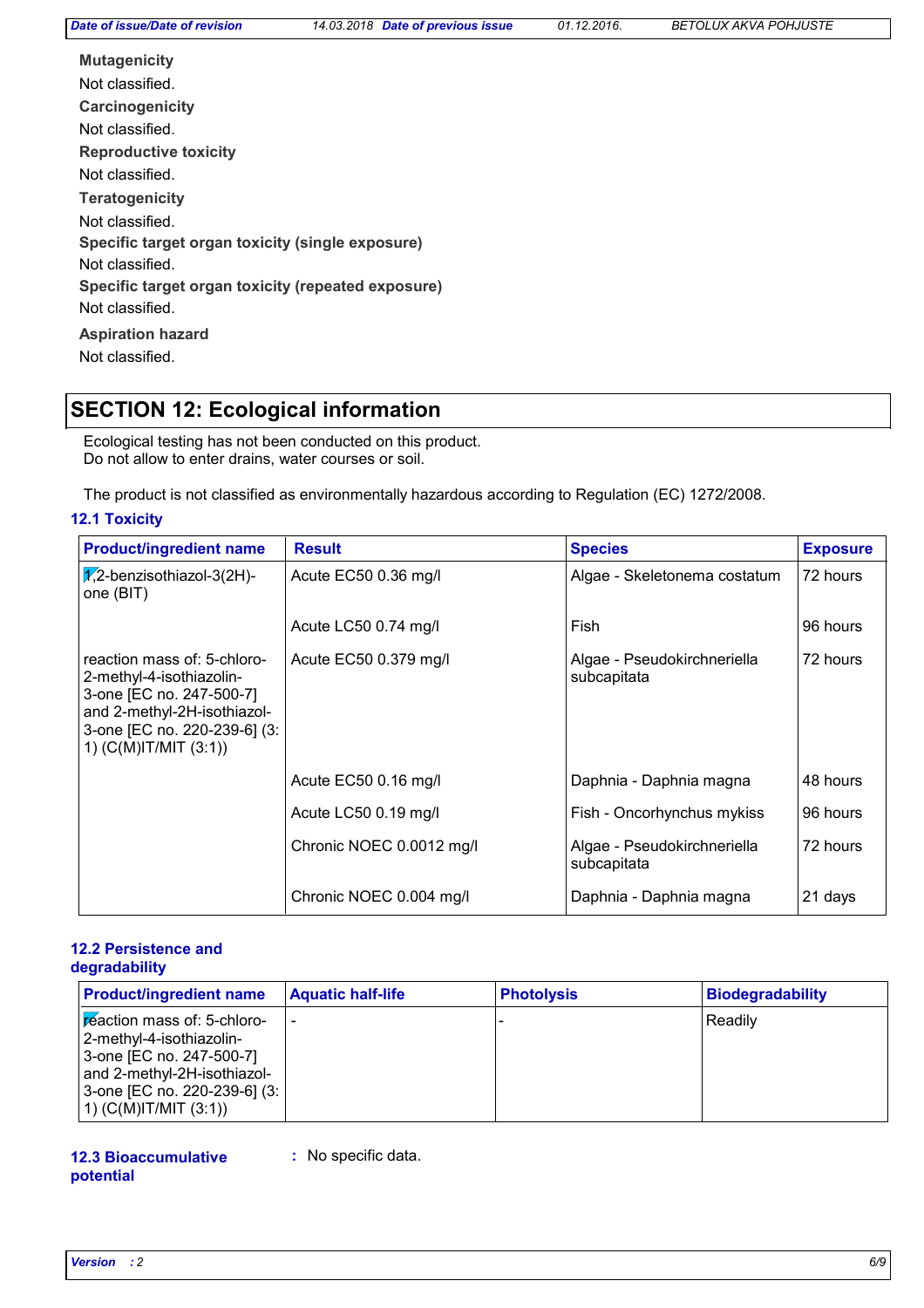**Carcinogenicity Mutagenicity Teratogenicity Reproductive toxicity Specific target organ toxicity (single exposure) Specific target organ toxicity (repeated exposure) Aspiration hazard** Not classified. Not classified. Not classified. Not classified. Not classified. Not classified. Not classified.

# **SECTION 12: Ecological information**

Ecological testing has not been conducted on this product. Do not allow to enter drains, water courses or soil.

The product is not classified as environmentally hazardous according to Regulation (EC) 1272/2008.

### **12.1 Toxicity**

| <b>Product/ingredient name</b>                                                                                                                                                  | <b>Result</b>            | <b>Species</b>                             | <b>Exposure</b> |
|---------------------------------------------------------------------------------------------------------------------------------------------------------------------------------|--------------------------|--------------------------------------------|-----------------|
| $\sqrt{2}$ -benzisothiazol-3(2H)-<br>one (BIT)                                                                                                                                  | Acute EC50 0.36 mg/l     | Algae - Skeletonema costatum               | 72 hours        |
|                                                                                                                                                                                 | Acute LC50 0.74 mg/l     | Fish                                       | 96 hours        |
| reaction mass of: 5-chloro-<br>2-methyl-4-isothiazolin-<br>3-one [EC no. 247-500-7]<br>and 2-methyl-2H-isothiazol-<br>3-one [EC no. 220-239-6] (3:<br>1) $(C(M)$ IT/MIT $(3:1)$ | Acute EC50 0.379 mg/l    | Algae - Pseudokirchneriella<br>subcapitata | 72 hours        |
|                                                                                                                                                                                 | Acute EC50 0.16 mg/l     | Daphnia - Daphnia magna                    | 48 hours        |
|                                                                                                                                                                                 | Acute LC50 0.19 mg/l     | Fish - Oncorhynchus mykiss                 | 96 hours        |
|                                                                                                                                                                                 | Chronic NOEC 0.0012 mg/l | Algae - Pseudokirchneriella<br>subcapitata | 72 hours        |
|                                                                                                                                                                                 | Chronic NOEC 0.004 mg/l  | Daphnia - Daphnia magna                    | 21 days         |

#### **12.2 Persistence and degradability**

| <b>Product/ingredient name</b>                                                                                                                                                         | <b>Aquatic half-life</b> | <b>Photolysis</b> | <b>Biodegradability</b> |
|----------------------------------------------------------------------------------------------------------------------------------------------------------------------------------------|--------------------------|-------------------|-------------------------|
| <b>Feaction mass of: 5-chloro-</b><br>2-methyl-4-isothiazolin-<br>3-one [EC no. 247-500-7]<br>and 2-methyl-2H-isothiazol-<br>3-one [EC no. 220-239-6] (3:<br>1) $(C(M)$ IT/MIT $(3:1)$ | $\overline{\phantom{0}}$ |                   | Readilv                 |

#### **12.3 Bioaccumulative potential**

**:** No specific data.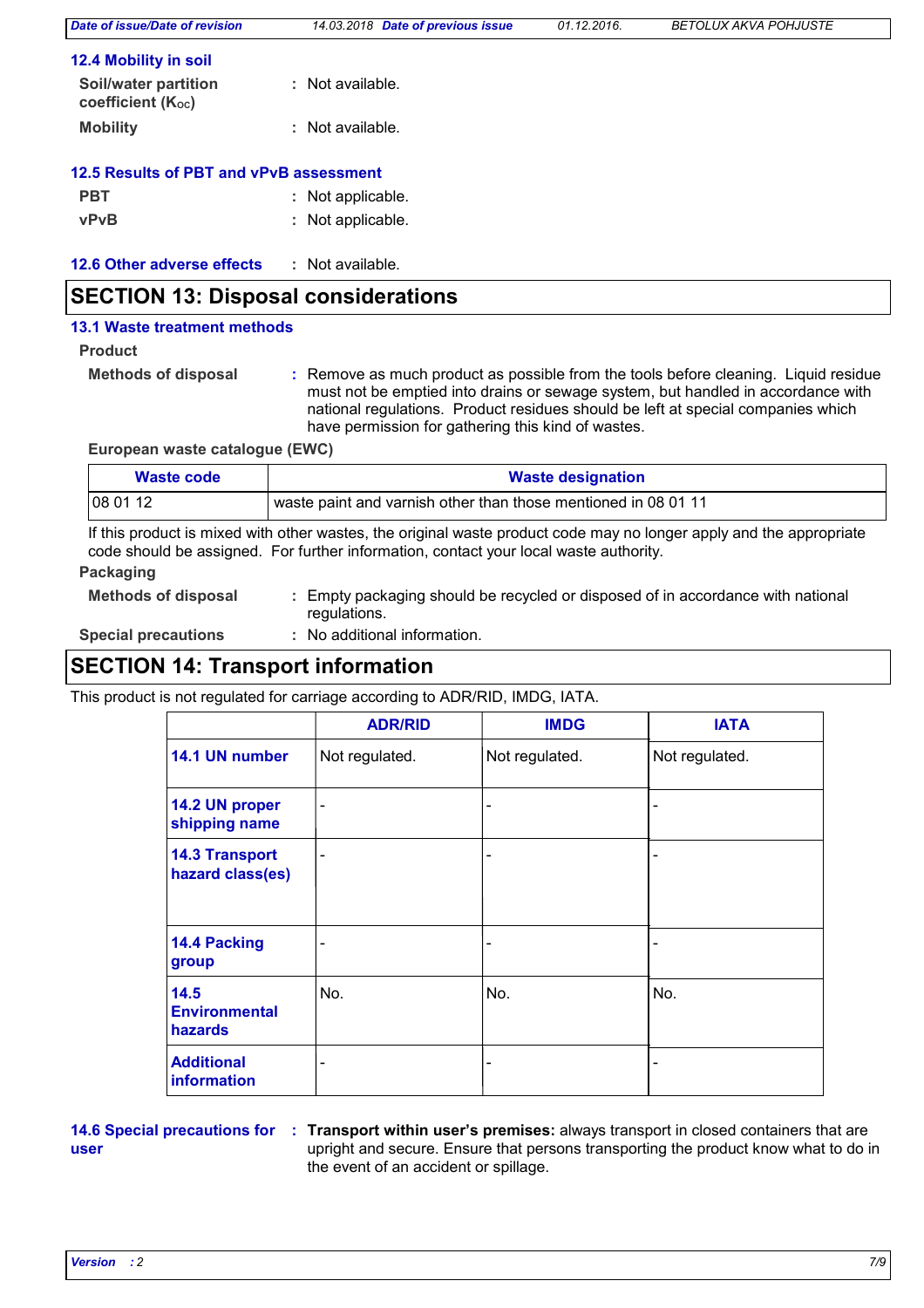| Date of issue/Date of revision            | 14.03.2018 Date of previous issue | 01.12.2016. | <b>BETOLUX AKVA POHJUSTE</b> |
|-------------------------------------------|-----------------------------------|-------------|------------------------------|
| <b>12.4 Mobility in soil</b>              |                                   |             |                              |
| Soil/water partition<br>coefficient (Koc) | : Not available.                  |             |                              |
| <b>Mobility</b>                           | : Not available.                  |             |                              |
| 12.5 Results of PBT and vPvB assessment   |                                   |             |                              |
| <b>PBT</b>                                | : Not applicable.                 |             |                              |
| <b>vPvB</b>                               | : Not applicable.                 |             |                              |
| 12.6 Other adverse effects                | : Not available.                  |             |                              |

# **SECTION 13: Disposal considerations**

#### **13.1 Waste treatment methods**

**Product**

**Methods of disposal :**

Remove as much product as possible from the tools before cleaning. Liquid residue must not be emptied into drains or sewage system, but handled in accordance with national regulations. Product residues should be left at special companies which have permission for gathering this kind of wastes.

**European waste catalogue (EWC)**

| Waste code | <b>Waste designation</b>                                       |
|------------|----------------------------------------------------------------|
| 08 01 12   | waste paint and varnish other than those mentioned in 08 01 11 |

If this product is mixed with other wastes, the original waste product code may no longer apply and the appropriate code should be assigned. For further information, contact your local waste authority.

### **Packaging**

**Methods of disposal :** Empty packaging should be recycled or disposed of in accordance with national regulations.

**Special precautions :**

No additional information.

# **SECTION 14: Transport information**

This product is not regulated for carriage according to ADR/RID, IMDG, IATA.

|                                           | <b>ADR/RID</b>           | <b>IMDG</b>                  | <b>IATA</b>    |
|-------------------------------------------|--------------------------|------------------------------|----------------|
| 14.1 UN number                            | Not regulated.           | Not regulated.               | Not regulated. |
| 14.2 UN proper<br>shipping name           | $\overline{\phantom{a}}$ | $\qquad \qquad \blacksquare$ |                |
| <b>14.3 Transport</b><br>hazard class(es) |                          | -                            |                |
| 14.4 Packing<br>group                     |                          | -                            |                |
| 14.5<br><b>Environmental</b><br>hazards   | No.                      | No.                          | No.            |
| <b>Additional</b><br>information          |                          | -                            |                |

**user**

**14.6 Special precautions for : Transport within user's premises: always transport in closed containers that are** upright and secure. Ensure that persons transporting the product know what to do in the event of an accident or spillage.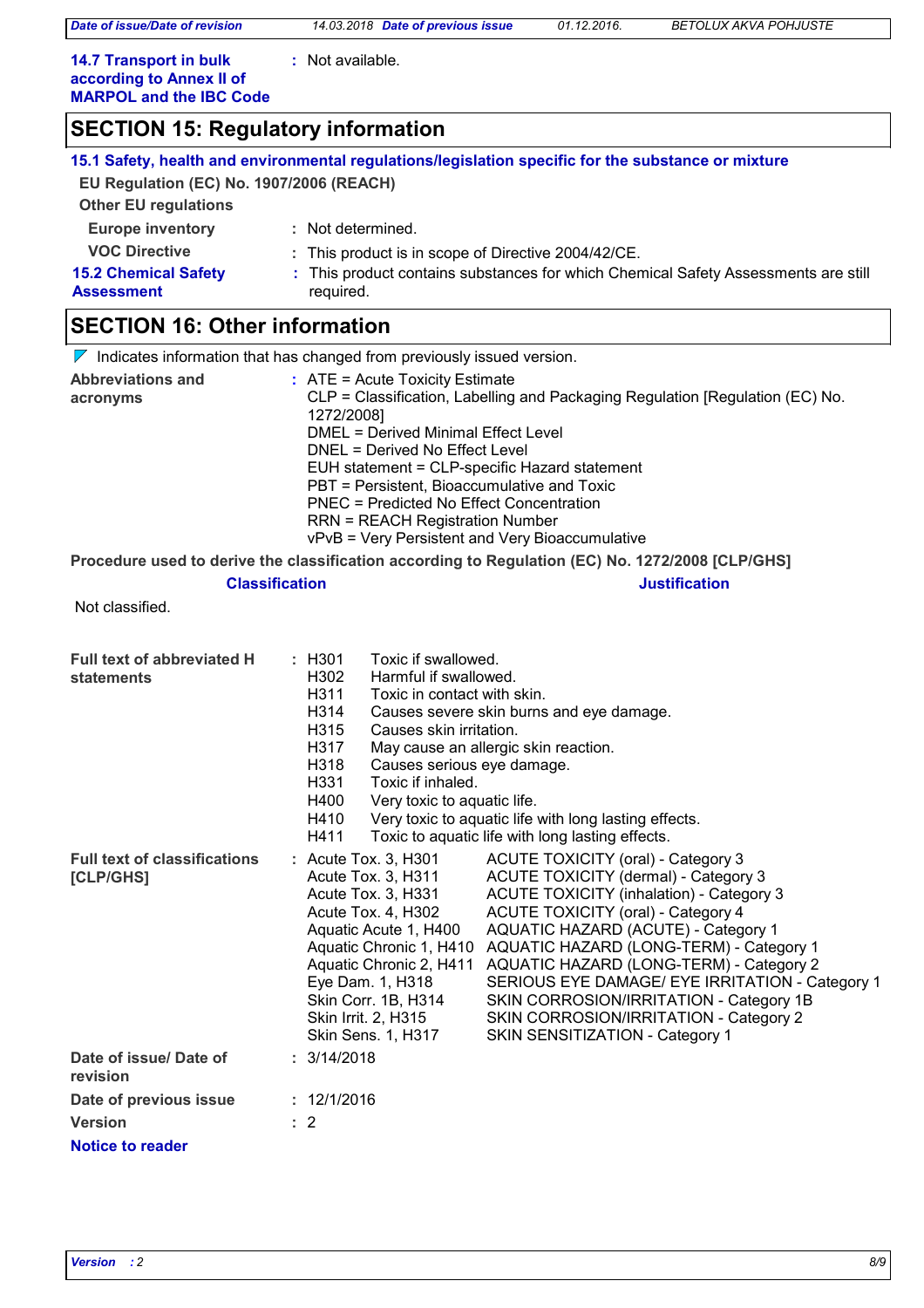*Date of issue/Date of revision 14.03.2018 Date of previous issue 01.12.2016. BETOLUX AKVA POHJUSTE*

**:** Not available.

**14.7 Transport in bulk according to Annex II of MARPOL and the IBC Code**

# **SECTION 15: Regulatory information**

|                                                  | 15.1 Safety, health and environmental regulations/legislation specific for the substance or mixture |
|--------------------------------------------------|-----------------------------------------------------------------------------------------------------|
| EU Regulation (EC) No. 1907/2006 (REACH)         |                                                                                                     |
| <b>Other EU regulations</b>                      |                                                                                                     |
| <b>Europe inventory</b>                          | : Not determined.                                                                                   |
| <b>VOC Directive</b>                             | : This product is in scope of Directive 2004/42/CE.                                                 |
| <b>15.2 Chemical Safety</b><br><b>Assessment</b> | : This product contains substances for which Chemical Safety Assessments are still<br>required.     |
| <b>SECTION 16: Other information</b>             |                                                                                                     |

# **SECTION 16: Other information**

|                          | $\nabla$ Indicates information that has changed from previously issued version.                  |
|--------------------------|--------------------------------------------------------------------------------------------------|
| <b>Abbreviations and</b> | $:$ ATE = Acute Toxicity Estimate                                                                |
| acronyms                 | CLP = Classification, Labelling and Packaging Regulation [Regulation (EC) No.<br>1272/2008]      |
|                          | DMEL = Derived Minimal Effect Level                                                              |
|                          | DNEL = Derived No Effect Level                                                                   |
|                          | EUH statement = CLP-specific Hazard statement                                                    |
|                          | PBT = Persistent, Bioaccumulative and Toxic                                                      |
|                          | PNEC = Predicted No Effect Concentration                                                         |
|                          | <b>RRN = REACH Registration Number</b>                                                           |
|                          | vPvB = Very Persistent and Very Bioaccumulative                                                  |
|                          | Procedure used to derive the classification according to Regulation (EC) No. 1272/2008 [CLP/GHS] |

#### **Classification Justification**

Not classified.

| <b>Full text of abbreviated H</b><br>statements  | : H301<br>Toxic if swallowed.<br>H <sub>302</sub><br>Harmful if swallowed.<br>H311<br>Toxic in contact with skin.<br>H314<br>Causes severe skin burns and eye damage.<br>H <sub>315</sub><br>Causes skin irritation.<br>H317<br>May cause an allergic skin reaction.<br>H318<br>Causes serious eye damage.<br>H331<br>Toxic if inhaled.<br>H400<br>Very toxic to aquatic life.<br>H410<br>Very toxic to aquatic life with long lasting effects.<br>H411<br>Toxic to aquatic life with long lasting effects.                                                                                                                                                                                                                                    |
|--------------------------------------------------|------------------------------------------------------------------------------------------------------------------------------------------------------------------------------------------------------------------------------------------------------------------------------------------------------------------------------------------------------------------------------------------------------------------------------------------------------------------------------------------------------------------------------------------------------------------------------------------------------------------------------------------------------------------------------------------------------------------------------------------------|
| <b>Full text of classifications</b><br>[CLP/GHS] | ACUTE TOXICITY (oral) - Category 3<br>$:$ Acute Tox. 3, H301<br>ACUTE TOXICITY (dermal) - Category 3<br>Acute Tox. 3, H311<br><b>ACUTE TOXICITY (inhalation) - Category 3</b><br>Acute Tox. 3, H331<br>ACUTE TOXICITY (oral) - Category 4<br>Acute Tox. 4, H302<br>Aquatic Acute 1, H400<br>AQUATIC HAZARD (ACUTE) - Category 1<br>AQUATIC HAZARD (LONG-TERM) - Category 1<br>Aquatic Chronic 1, H410<br>AQUATIC HAZARD (LONG-TERM) - Category 2<br>Aquatic Chronic 2, H411<br>Eye Dam. 1, H318<br>SERIOUS EYE DAMAGE/ EYE IRRITATION - Category 1<br>Skin Corr. 1B, H314<br>SKIN CORROSION/IRRITATION - Category 1B<br>Skin Irrit. 2, H315<br>SKIN CORROSION/IRRITATION - Category 2<br>Skin Sens. 1, H317<br>SKIN SENSITIZATION - Category 1 |
| Date of issue/Date of<br>revision                | : 3/14/2018                                                                                                                                                                                                                                                                                                                                                                                                                                                                                                                                                                                                                                                                                                                                    |
| Date of previous issue                           | : 12/1/2016                                                                                                                                                                                                                                                                                                                                                                                                                                                                                                                                                                                                                                                                                                                                    |
| <b>Version</b>                                   | $\therefore$ 2                                                                                                                                                                                                                                                                                                                                                                                                                                                                                                                                                                                                                                                                                                                                 |
| Notice to reader                                 |                                                                                                                                                                                                                                                                                                                                                                                                                                                                                                                                                                                                                                                                                                                                                |